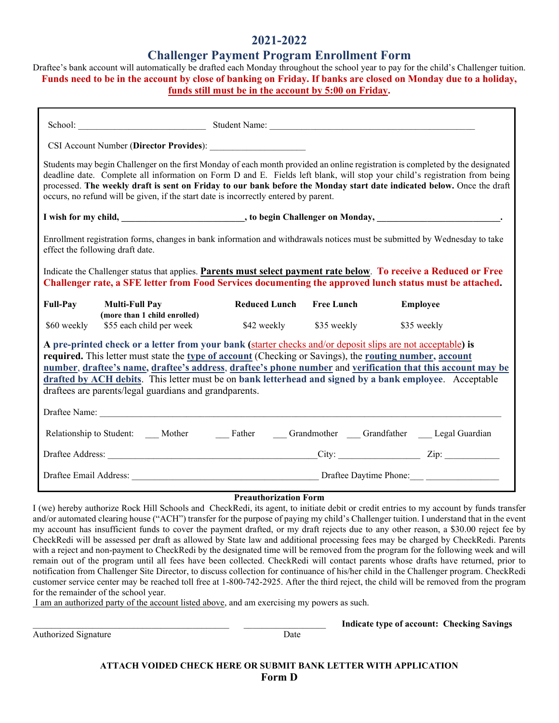## **2021-2022**

## **Challenger Payment Program Enrollment Form**

Draftee's bank account will automatically be drafted each Monday throughout the school year to pay for the child's Challenger tuition. **Funds need to be in the account by close of banking on Friday. If banks are closed on Monday due to a holiday, funds still must be in the account by 5:00 on Friday.** 

| CSI Account Number (Director Provides):                                                                                                                                                                                                                                                                                                                                                                                                                                                                   |  |                                     |                 |  |
|-----------------------------------------------------------------------------------------------------------------------------------------------------------------------------------------------------------------------------------------------------------------------------------------------------------------------------------------------------------------------------------------------------------------------------------------------------------------------------------------------------------|--|-------------------------------------|-----------------|--|
| Students may begin Challenger on the first Monday of each month provided an online registration is completed by the designated<br>deadline date. Complete all information on Form D and E. Fields left blank, will stop your child's registration from being<br>processed. The weekly draft is sent on Friday to our bank before the Monday start date indicated below. Once the draft<br>occurs, no refund will be given, if the start date is incorrectly entered by parent.                            |  |                                     |                 |  |
|                                                                                                                                                                                                                                                                                                                                                                                                                                                                                                           |  |                                     |                 |  |
| Enrollment registration forms, changes in bank information and withdrawals notices must be submitted by Wednesday to take<br>effect the following draft date.                                                                                                                                                                                                                                                                                                                                             |  |                                     |                 |  |
| Indicate the Challenger status that applies. Parents must select payment rate below. To receive a Reduced or Free<br>Challenger rate, a SFE letter from Food Services documenting the approved lunch status must be attached.                                                                                                                                                                                                                                                                             |  |                                     |                 |  |
| <b>Full-Pay</b><br><b>Multi-Full Pay</b>                                                                                                                                                                                                                                                                                                                                                                                                                                                                  |  | Reduced Lunch Free Lunch            | <b>Employee</b> |  |
| (more than 1 child enrolled)<br>\$55 each child per week<br>\$60 weekly                                                                                                                                                                                                                                                                                                                                                                                                                                   |  | \$42 weekly \$35 weekly \$35 weekly |                 |  |
| A pre-printed check or a letter from your bank (starter checks and/or deposit slips are not acceptable) is<br>required. This letter must state the type of account (Checking or Savings), the routing number, account<br>number, draftee's name, draftee's address, draftee's phone number and verification that this account may be<br>drafted by ACH debits. This letter must be on bank letterhead and signed by a bank employee. Acceptable<br>draftees are parents/legal guardians and grandparents. |  |                                     |                 |  |
|                                                                                                                                                                                                                                                                                                                                                                                                                                                                                                           |  |                                     |                 |  |
| Relationship to Student: ____Mother __________Father ______Grandmother _____Grandfather ______Legal Guardian                                                                                                                                                                                                                                                                                                                                                                                              |  |                                     |                 |  |
|                                                                                                                                                                                                                                                                                                                                                                                                                                                                                                           |  |                                     |                 |  |
|                                                                                                                                                                                                                                                                                                                                                                                                                                                                                                           |  |                                     |                 |  |

#### **Preauthorization Form**

I (we) hereby authorize Rock Hill Schools and CheckRedi, its agent, to initiate debit or credit entries to my account by funds transfer and/or automated clearing house ("ACH") transfer for the purpose of paying my child's Challenger tuition. I understand that in the event my account has insufficient funds to cover the payment drafted, or my draft rejects due to any other reason, a \$30.00 reject fee by CheckRedi will be assessed per draft as allowed by State law and additional processing fees may be charged by CheckRedi. Parents with a reject and non-payment to CheckRedi by the designated time will be removed from the program for the following week and will remain out of the program until all fees have been collected. CheckRedi will contact parents whose drafts have returned, prior to notification from Challenger Site Director, to discuss collection for continuance of his/her child in the Challenger program. CheckRedi customer service center may be reached toll free at 1-800-742-2925. After the third reject, the child will be removed from the program for the remainder of the school year.

I am an authorized party of the account listed above, and am exercising my powers as such.

Authorized Signature Date

\_\_\_\_\_\_\_\_\_\_\_\_\_\_\_\_\_\_\_\_\_\_\_\_\_\_\_\_\_\_\_\_\_\_\_\_\_\_\_\_\_\_\_ \_\_\_\_\_\_\_\_\_\_\_\_\_\_\_\_\_\_ **Indicate type of account: Checking Savings**

**ATTACH VOIDED CHECK HERE OR SUBMIT BANK LETTER WITH APPLICATION Form D**